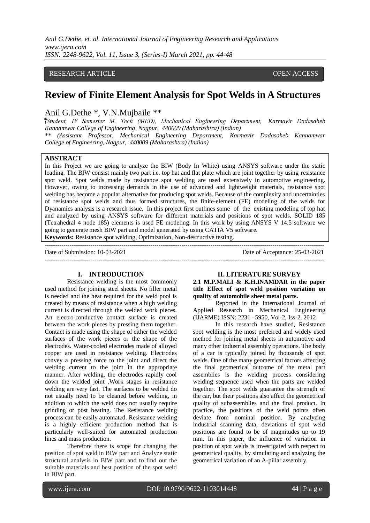*Anil G.Dethe, et. al. International Journal of Engineering Research and Applications www.ijera.com ISSN: 2248-9622, Vol. 11, Issue 3, (Series-I) March 2021, pp. 44-48*

## RESEARCH ARTICLE **CONSERVERS** OPEN ACCESS

# **Review of Finite Element Analysis for Spot Welds in A Structures**

# Anil G.Dethe \*, V.N.Mujbaile \*\*

*⃰(Student, IV Semester M. Tech (MED), Mechanical Engineering Department, Karmavir Dadasaheb Kannamwar College of Engineering, Nagpur, 440009 (Maharashtra) (Indian)*

*\*\* (Assistant Professor, Mechanical Engineering Department, Karmavir Dadasaheb Kannamwar College of Engineering, Nagpur, 440009 (Maharashtra) (Indian)*

#### **ABSTRACT**

In this Project we are going to analyze the BIW (Body In White) using ANSYS software under the static loading. The BIW consist mainly two part i.e. top hat and flat plate which are joint together by using resistance spot weld. Spot welds made by resistance spot welding are used extensively in automotive engineering. However, owing to increasing demands in the use of advanced and lightweight materials, resistance spot welding has become a popular alternative for producing spot welds. Because of the complexity and uncertainties of resistance spot welds and thus formed structures, the finite-element (FE) modeling of the welds for Dyanamics analysis is a research issue. In this project first outlines some of the existing modeling of top hat and analyzed by using ANSYS software for different materials and positions of spot welds. SOLID 185 (Tetrahedral 4 node 185) elements is used FE modeling. In this work by using ANSYS V 14.5 software we going to generate mesh BIW part and model generated by using CATIA V5 software. **Keywords:** Resistance spot welding, Optimization, Non-destructive testing.

Date of Submission: 10-03-2021 Date of Acceptance: 25-03-2021

# --------------------------------------------------------------------------------------------------------------------------------------- **I. INTRODUCTION**

Resistance welding is the most commonly used method for joining steel sheets. No filler metal is needed and the heat required for the weld pool is created by means of resistance when a high welding current is directed through the welded work pieces. An electro-conductive contact surface is created between the work pieces by pressing them together. Contact is made using the shape of either the welded surfaces of the work pieces or the shape of the electrodes. Water-cooled electrodes made of alloyed copper are used in resistance welding. Electrodes convey a pressing force to the joint and direct the welding current to the joint in the appropriate manner. After welding, the electrodes rapidly cool down the welded joint .Work stages in resistance welding are very fast. The surfaces to be welded do not usually need to be cleaned before welding, in addition to which the weld does not usually require grinding or post heating. The Resistance welding process can be easily automated. Resistance welding is a highly efficient production method that is particularly well-suited for automated production lines and mass production.

Therefore there is scope for changing the position of spot weld in BIW part and Analyze static structural analysis in BIW part and to find out the suitable materials and best position of the spot weld in BIW part.

**II. LITERATURE SURVEY**

**2.1 M.P.MALI & K.H.INAMDAR in the paper title Effect of spot weld position variation on quality of automobile sheet metal parts.**

Reported in the International Journal of Applied Research in Mechanical Engineering (IJARME) ISSN: 2231 –5950, Vol-2, Iss-2, 2012

In this research have studied, Resistance spot welding is the most preferred and widely used method for joining metal sheets in automotive and many other industrial assembly operations. The body of a car is typically joined by thousands of spot welds. One of the many geometrical factors affecting the final geometrical outcome of the metal part assemblies is the welding process considering welding sequence used when the parts are welded together. The spot welds guarantee the strength of the car, but their positions also affect the geometrical quality of subassemblies and the final product. In practice, the positions of the weld points often deviate from nominal position. By analyzing industrial scanning data, deviations of spot weld positions are found to be of magnitudes up to 19 mm. In this paper, the influence of variation in position of spot welds is investigated with respect to geometrical quality, by simulating and analyzing the geometrical variation of an A-pillar assembly.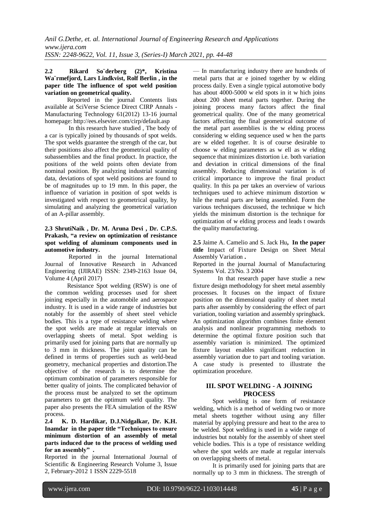#### **2.2 Rikard So¨derberg (2)\*, Kristina Wa¨rmefjord, Lars Lindkvist, Rolf Berlin , in the paper title The influence of spot weld position variation on geometrical quality.**

Reported in the journal Contents lists available at SciVerse Science Direct CIRP Annals - Manufacturing Technology 61(2012) 13-16 journal homepage: http://ees.elsevier.com/cirp/default.asp

In this research have studied , The body of a car is typically joined by thousands of spot welds. The spot welds guarantee the strength of the car, but their positions also affect the geometrical quality of subassemblies and the final product. In practice, the positions of the weld points often deviate from nominal position. By analyzing industrial scanning data, deviations of spot weld positions are found to be of magnitudes up to 19 mm. In this paper, the influence of variation in position of spot welds is investigated with respect to geometrical quality, by simulating and analyzing the geometrical variation of an A-pillar assembly.

#### **2.3 ShrutiNaik , Dr. M. Aruna Devi , Dr. C.P.S. Prakash, "a review on optimization of resistance spot welding of aluminum components used in automotive industry.**

Reported in the journal International Journal of Innovative Research in Advanced Engineering (IJIRAE) ISSN: 2349-2163 Issue 04, Volume 4 (April 2017)

Resistance Spot welding (RSW) is one of the common welding processes used for sheet joining especially in the automobile and aerospace industry. It is used in a wide range of industries but notably for the assembly of sheet steel vehicle bodies. This is a type of resistance welding where the spot welds are made at regular intervals on overlapping sheets of metal. Spot welding is primarily used for joining parts that are normally up to 3 mm in thickness. The joint quality can be defined in terms of properties such as weld-bead geometry, mechanical properties and distortion.The objective of the research is to determine the optimum combination of parameters responsible for better quality of joints. The complicated behavior of the process must be analyzed to set the optimum parameters to get the optimum weld quality. The paper also presents the FEA simulation of the RSW process.

**2.4 K. D. Hardikar, D.J.Nidgalkar, Dr. K.H. Inamdar in the paper title "Techniques to ensure minimum distortion of an assembly of metal parts induced due to the process of welding used for an assembly" .**

Reported in the journal International Journal of Scientific & Engineering Research Volume 3, Issue 2, February-2012 1 ISSN 2229-5518

— In manufacturing industry there are hundreds of metal parts that ar e joined together by w elding process daily. Even a single typical automotive body has about 4000-5000 w eld spots in it w hich joins about 200 sheet metal parts together. During the joining process many factors affect the final geometrical quality. One of the many geometrical factors affecting the final geometrical outcome of the metal part assemblies is the w elding process considering w elding sequence used w hen the parts are w elded together. It is of course desirable to choose w elding parameters as w ell as w elding sequence that minimizes distortion i.e. both variation and deviation in critical dimensions of the final assembly. Reducing dimensional variation is of critical importance to improve the final product quality. In this pa per takes an overview of various techniques used to achieve minimum distortion w hile the metal parts are being assembled. Form the various techniques discussed, the technique w hich yields the minimum distortion is the technique for optimization of w elding process and leads t owards the quality manufacturing.

**2.5** Jaime A. Camelio and S. Jack Hu**, In the paper title** Impact of Fixture Design on Sheet Metal Assembly Variation **.** 

Reported in the journal Journal of Manufacturing Systems Vol. 23/No. 3 2004

 In that research paper have studie a new fixture design methodology for sheet metal assembly processes. It focuses on the impact of fixture position on the dimensional quality of sheet metal parts after assembly by considering the effect of part variation, tooling variation and assembly springback. An optimization algorithm combines finite element analysis and nonlinear programming methods to determine the optimal fixture position such that assembly variation is minimized. The optimized fixture layout enables significant reduction in assembly variation due to part and tooling variation. A case study is presented to illustrate the optimization procedure.

## **III. SPOT WELDING - A JOINING PROCESS**

Spot welding is one form of resistance welding, which is a method of welding two or more metal sheets together without using any filler material by applying pressure and heat to the area to be welded. Spot welding is used in a wide range of industries but notably for the assembly of sheet steel vehicle bodies. This is a type of resistance welding where the spot welds are made at regular intervals on overlapping sheets of metal.

It is primarily used for joining parts that are normally up to 3 mm in thickness. The strength of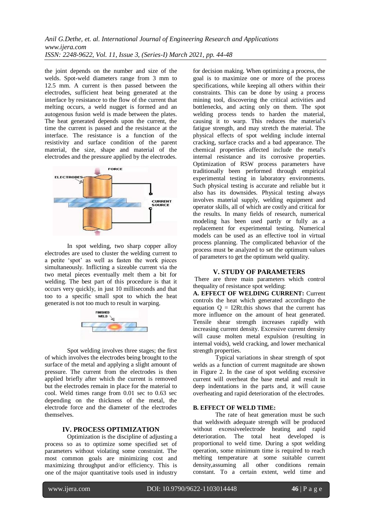the joint depends on the number and size of the welds. Spot-weld diameters range from 3 mm to 12.5 mm. A current is then passed between the electrodes, sufficient heat being generated at the interface by resistance to the flow of the current that melting occurs, a weld nugget is formed and an autogenous fusion weld is made between the plates. The heat generated depends upon the current, the time the current is passed and the resistance at the interface. The resistance is a function of the resistivity and surface condition of the parent material, the size, shape and material of the electrodes and the pressure applied by the electrodes.



In spot welding, two sharp copper alloy electrodes are used to cluster the welding current to a petite 'spot' as well as fasten the work pieces simultaneously. Inflicting a sizeable current via the two metal pieces eventually melt them a bit for welding. The best part of this procedure is that it occurs very quickly, in just 10 milliseconds and that too to a specific small spot to which the heat generated is not too much to result in warping.



Spot welding involves three stages; the first of which involves the electrodes being brought to the surface of the metal and applying a slight amount of pressure. The current from the electrodes is then applied briefly after which the current is removed but the electrodes remain in place for the material to cool. Weld times range from 0.01 sec to 0.63 sec depending on the thickness of the metal, the electrode force and the diameter of the electrodes themselves.

#### **IV. PROCESS OPTIMIZATION**

Optimization is the discipline of adjusting a process so as to optimize some specified set of parameters without violating some constraint. The most common goals are minimizing cost and maximizing throughput and/or efficiency. This is one of the major quantitative tools used in industry

for decision making. When optimizing a process, the goal is to maximize one or more of the process specifications, while keeping all others within their constraints. This can be done by using a process mining tool, discovering the critical activities and bottlenecks, and acting only on them. The spot welding process tends to harden the material, causing it to warp. This reduces the material's fatigue strength, and may stretch the material. The physical effects of spot welding include internal cracking, surface cracks and a bad appearance. The chemical properties affected include the metal's internal resistance and its corrosive properties. Optimization of RSW process parameters have traditionally been performed through empirical experimental testing in laboratory environments. Such physical testing is accurate and reliable but it also has its downsides. Physical testing always involves material supply, welding equipment and operator skills, all of which are costly and critical for the results. In many fields of research, numerical modeling has been used partly or fully as a replacement for experimental testing. Numerical models can be used as an effective tool in virtual process planning. The complicated behavior of the process must be analyzed to set the optimum values of parameters to get the optimum weld quality.

#### **V. STUDY OF PARAMETERS**

There are three main parameters which control thequality of resistance spot welding:

**A. EFFECT OF WELDING CURRENT:** Current controls the heat which generated accordingto the equation  $Q = I2Rt$ . this shows that the current has more influence on the amount of heat generated. Tensile shear strength increases rapidly with increasing current density. Excessive current density will cause molten metal expulsion (resulting in internal voids), weld cracking, and lower mechanical strength properties.

Typical variations in shear strength of spot welds as a function of current magnitude are shown in Figure 2. In the case of spot welding excessive current will overheat the base metal and result in deep indentations in the parts and, it will cause overheating and rapid deterioration of the electrodes.

#### **B. EFFECT OF WELD TIME:**

The rate of heat generation must be such that weldswith adequate strength will be produced without excessiveelectrode heating and rapid deterioration. The total heat developed is proportional to weld time. During a spot welding operation, some minimum time is required to reach melting temperature at some suitable current density,assuming all other conditions remain constant. To a certain extent, weld time and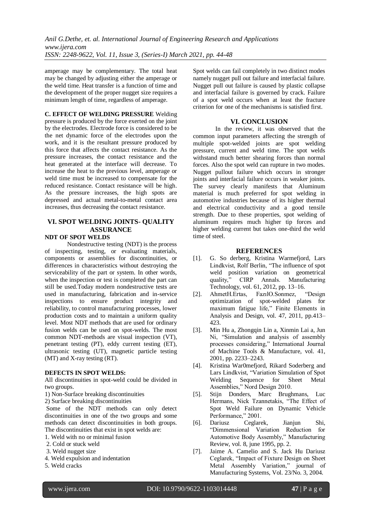amperage may be complementary. The total heat may be changed by adjusting either the amperage or the weld time. Heat transfer is a function of time and the development of the proper nugget size requires a minimum length of time, regardless of amperage.

**C. EFFECT OF WELDING PRESSURE** Welding pressure is produced by the force exerted on the joint by the electrodes. Electrode force is considered to be the net dynamic force of the electrodes upon the work, and it is the resultant pressure produced by this force that affects the contact resistance. As the pressure increases, the contact resistance and the heat generated at the interface will decrease. To increase the heat to the previous level, amperage or weld time must be increased to compensate for the reduced resistance. Contact resistance will be high. As the pressure increases, the high spots are depressed and actual metal-to-metal contact area increases, thus decreasing the contact resistance.

# **VI. SPOT WELDING JOINTS- QUALITY ASSURANCE**

### **NDT OF SPOT WELDS**

Nondestructive testing (NDT) is the process of inspecting, testing, or evaluating materials, components or assemblies for discontinuities, or differences in characteristics without destroying the serviceability of the part or system. In other words, when the inspection or test is completed the part can still be used.Today modern nondestructive tests are used in manufacturing, fabrication and in-service inspections to ensure product integrity and reliability, to control manufacturing processes, lower production costs and to maintain a uniform quality level. Most NDT methods that are used for ordinary fusion welds can be used on spot-welds. The most common NDT-methods are visual inspection (VT), penetrant testing (PT), eddy current testing (ET), ultrasonic testing (UT), magnetic particle testing (MT) and X-ray testing (RT).

#### **DEFECTS IN SPOT WELDS:**

All discontinuities in spot-weld could be divided in two groups.

1) Non-Surface breaking discontinuities

2) Surface breaking discontinuities

Some of the NDT methods can only detect discontinuities in one of the two groups and some methods can detect discontinuities in both groups. The discontinuities that exist in spot welds are:

- 1. Weld with no or minimal fusion
- 2. Cold or stuck weld
- 3. Weld nugget size
- 4. Weld expulsion and indentation
- 5. Weld cracks

Spot welds can fail completely in two distinct modes namely nugget pull out failure and interfacial failure. Nugget pull out failure is caused by plastic collapse and interfacial failure is governed by crack. Failure of a spot weld occurs when at least the fracture criterion for one of the mechanisms is satisfied first.

## **VI. CONCLUSION**

In the review, it was observed that the common input parameters affecting the strength of multiple spot-welded joints are spot welding pressure, current and weld time. The spot welds withstand much better shearing forces than normal forces. Also the spot weld can rupture in two modes. Nugget pullout failure which occurs in stronger joints and interfacial failure occurs in weaker joints. The survey clearly manifests that Aluminum material is much preferred for spot welding in automotive industries because of its higher thermal and electrical conductivity and a good tensile strength. Due to these properties, spot welding of aluminum requires much higher tip forces and higher welding current but takes one-third the weld time of steel.

#### **REFERENCES**

- [1]. G. So derberg, Kristina Warmefjord, Lars Lindkvist, Rolf Berlin, "The influence of spot weld position variation on geometrical quality," CIRP Annals. Manufacturing Technology, vol. 61, 2012, pp. 13–16.
- [2]. AhmetH.Ertas, FazılO.Sonmez, "Design optimization of spot-welded plates for maximum fatigue life," Finite Elements in Analysis and Design, vol. 47, 2011, pp.413– 423.
- [3]. Min Hu a, Zhongqin Lin a, Xinmin Lai a, Jun Ni, "Simulation and analysis of assembly processes considering," International Journal of Machine Tools & Manufacture, vol. 41, 2001, pp. 2233–2243.
- [4]. Kristina War0mefjord, Rikard Soderberg and Lars Lindkvist, "Variation Simulation of Spot Welding Sequence for Sheet Metal Assemblies," Nord Design 2010.
- [5]. Stijn Donders, Marc Brughmans, Luc Hermans, Nick Tzannetakis, "The Effect of Spot Weld Failure on Dynamic Vehicle Performance," 2001.
- [6]. Dariusz Ceglarek, Jianjun Shi, "Dimmensional Variation Reduction for Automotive Body Assembly," Manufacturing Review, vol. 8, june 1995, pp. 2.
- [7]. Jaime A. Camelio and S. Jack Hu Dariusz Ceglarek, "Impact of Fixture Design on Sheet Metal Assembly Variation," journal of Manufacturing Systems, Vol. 23/No. 3, 2004.